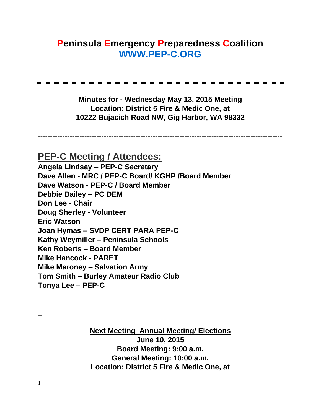## **Peninsula Emergency Preparedness Coalition [WWW.PEP-C.ORG](http://www.pep-c.org/)**

**Minutes for - Wednesday May 13, 2015 Meeting Location: District 5 Fire & Medic One, at 10222 Bujacich Road NW, Gig Harbor, WA 98332** 

**----------------------------------------------------------------------------------------------------**

**PEP-C Meeting / Attendees: Angela Lindsay – PEP-C Secretary Dave Allen - MRC / PEP-C Board/ KGHP /Board Member Dave Watson - PEP-C / Board Member Debbie Bailey – PC DEM Don Lee - Chair Doug Sherfey - Volunteer Eric Watson Joan Hymas – SVDP CERT PARA PEP-C Kathy Weymiller – Peninsula Schools Ken Roberts – Board Member Mike Hancock - PARET Mike Maroney – Salvation Army Tom Smith – Burley Amateur Radio Club Tonya Lee – PEP-C** 

> **Next Meeting Annual Meeting/ Elections June 10, 2015 Board Meeting: 9:00 a.m. General Meeting: 10:00 a.m. Location: District 5 Fire & Medic One, at**

**\_\_\_\_\_\_\_\_\_\_\_\_\_\_\_\_\_\_\_\_\_\_\_\_\_\_\_\_\_\_\_\_\_\_\_\_\_\_\_\_\_\_\_\_\_\_\_\_\_\_\_\_\_\_\_\_\_\_\_**

**\_**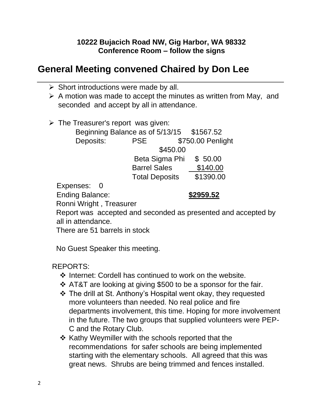## **10222 Bujacich Road NW, Gig Harbor, WA 98332 Conference Room – follow the signs**

## **General Meeting convened Chaired by Don Lee**

- $\triangleright$  Short introductions were made by all.
- ➢ A motion was made to accept the minutes as written from May, and seconded and accept by all in attendance.
- $\triangleright$  The Treasurer's report was given: Beginning Balance as of 5/13/15 \$1567.52 Deposits: PSE \$750.00 Penlight \$450.00 Beta Sigma Phi \$ 50.00 Barrel Sales \$140.00 Total Deposits \$1390.00

Expenses: 0

Ending Balance: **\$2959.52**

Ronni Wright , Treasurer

Report was accepted and seconded as presented and accepted by all in attendance.

There are 51 barrels in stock

No Guest Speaker this meeting.

REPORTS:

- ❖ Internet: Cordell has continued to work on the website.
- ❖ AT&T are looking at giving \$500 to be a sponsor for the fair.
- ❖ The drill at St. Anthony's Hospital went okay, they requested more volunteers than needed. No real police and fire departments involvement, this time. Hoping for more involvement in the future. The two groups that supplied volunteers were PEP-C and the Rotary Club.
- ❖ Kathy Weymiller with the schools reported that the recommendations for safer schools are being implemented starting with the elementary schools. All agreed that this was great news. Shrubs are being trimmed and fences installed.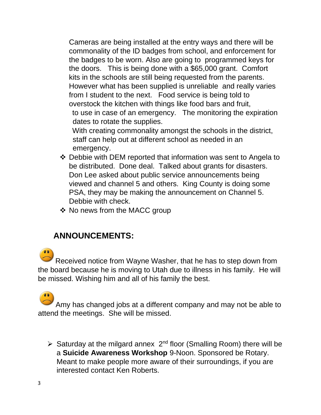Cameras are being installed at the entry ways and there will be commonality of the ID badges from school, and enforcement for the badges to be worn. Also are going to programmed keys for the doors. This is being done with a \$65,000 grant. Comfort kits in the schools are still being requested from the parents. However what has been supplied is unreliable and really varies from I student to the next. Food service is being told to overstock the kitchen with things like food bars and fruit, to use in case of an emergency. The monitoring the expiration

dates to rotate the supplies.

With creating commonality amongst the schools in the district, staff can help out at different school as needed in an emergency.

- ❖ Debbie with DEM reported that information was sent to Angela to be distributed. Done deal. Talked about grants for disasters. Don Lee asked about public service announcements being viewed and channel 5 and others. King County is doing some PSA, they may be making the announcement on Channel 5. Debbie with check.
- ❖ No news from the MACC group

## **ANNOUNCEMENTS:**

Received notice from Wayne Washer, that he has to step down from the board because he is moving to Utah due to illness in his family. He will be missed. Wishing him and all of his family the best.

Amy has changed jobs at a different company and may not be able to attend the meetings. She will be missed.

 $\triangleright$  Saturday at the milgard annex  $2^{nd}$  floor (Smalling Room) there will be a **Suicide Awareness Workshop** 9-Noon. Sponsored be Rotary. Meant to make people more aware of their surroundings, if you are interested contact Ken Roberts.